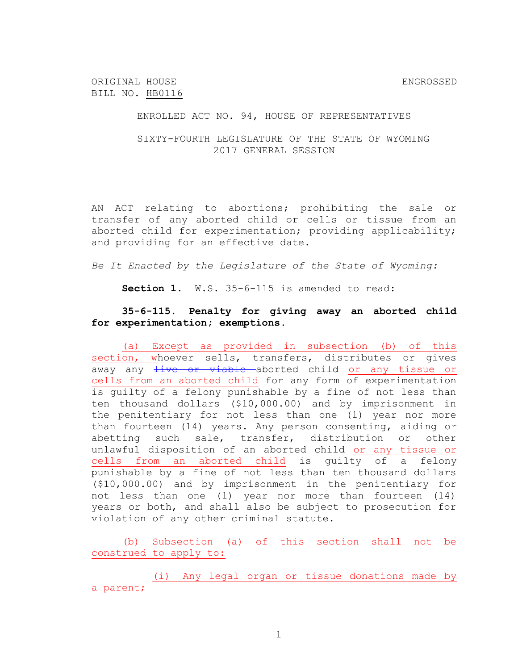ORIGINAL HOUSE SAND SERVICE SERVICES AND RESERVE SERVICES SERVICES SERVICES SERVICES SERVICES SERVICES SERVICES BILL NO. HB0116

ENROLLED ACT NO. 94, HOUSE OF REPRESENTATIVES

SIXTY-FOURTH LEGISLATURE OF THE STATE OF WYOMING 2017 GENERAL SESSION

AN ACT relating to abortions; prohibiting the sale or transfer of any aborted child or cells or tissue from an aborted child for experimentation; providing applicability; and providing for an effective date.

*Be It Enacted by the Legislature of the State of Wyoming:*

**Section 1.** W.S. 35-6-115 is amended to read:

## **35-6-115. Penalty for giving away an aborted child for experimentation; exemptions.**

(a) Except as provided in subsection (b) of this section, whoever sells, transfers, distributes or gives away any live or viable aborted child or any tissue or cells from an aborted child for any form of experimentation is guilty of a felony punishable by a fine of not less than ten thousand dollars (\$10,000.00) and by imprisonment in the penitentiary for not less than one (1) year nor more than fourteen (14) years. Any person consenting, aiding or abetting such sale, transfer, distribution or other unlawful disposition of an aborted child or any tissue or cells from an aborted child is guilty of a felony punishable by a fine of not less than ten thousand dollars (\$10,000.00) and by imprisonment in the penitentiary for not less than one (1) year nor more than fourteen (14) years or both, and shall also be subject to prosecution for violation of any other criminal statute.

(b) Subsection (a) of this section shall not be construed to apply to:

(i) Any legal organ or tissue donations made by a parent;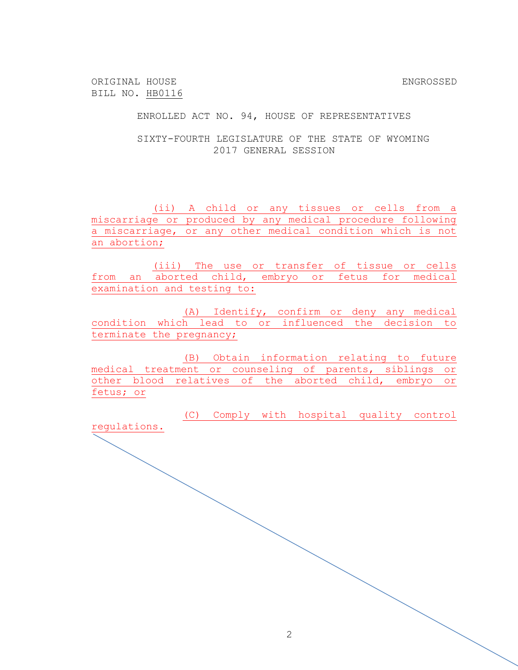ORIGINAL HOUSE ENGROSSED BILL NO. HB0116

ENROLLED ACT NO. 94, HOUSE OF REPRESENTATIVES

SIXTY-FOURTH LEGISLATURE OF THE STATE OF WYOMING 2017 GENERAL SESSION

(ii) A child or any tissues or cells from a miscarriage or produced by any medical procedure following a miscarriage, or any other medical condition which is not an abortion;

(iii) The use or transfer of tissue or cells from an aborted child, embryo or fetus for medical examination and testing to:

(A) Identify, confirm or deny any medical condition which lead to or influenced the decision to terminate the pregnancy;

(B) Obtain information relating to future medical treatment or counseling of parents, siblings or other blood relatives of the aborted child, embryo or fetus; or

(C) Comply with hospital quality control regulations.